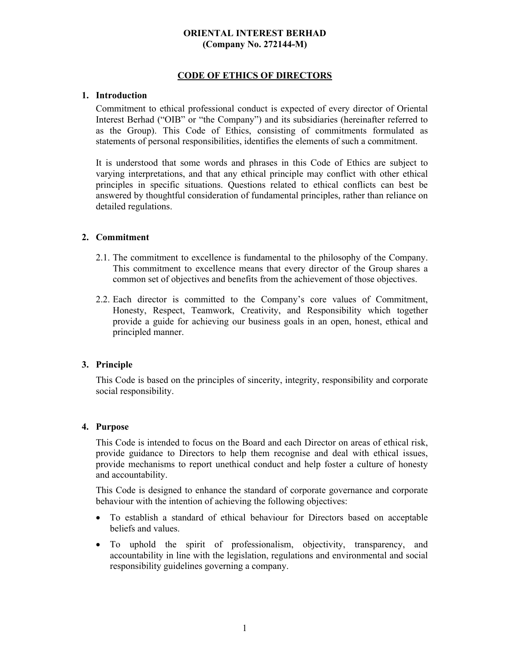## **ORIENTAL INTEREST BERHAD (Company No. 272144-M)**

# **CODE OF ETHICS OF DIRECTORS**

### **1. Introduction**

Commitment to ethical professional conduct is expected of every director of Oriental Interest Berhad ("OIB" or "the Company") and its subsidiaries (hereinafter referred to as the Group). This Code of Ethics, consisting of commitments formulated as statements of personal responsibilities, identifies the elements of such a commitment.

It is understood that some words and phrases in this Code of Ethics are subject to varying interpretations, and that any ethical principle may conflict with other ethical principles in specific situations. Questions related to ethical conflicts can best be answered by thoughtful consideration of fundamental principles, rather than reliance on detailed regulations.

### **2. Commitment**

- 2.1. The commitment to excellence is fundamental to the philosophy of the Company. This commitment to excellence means that every director of the Group shares a common set of objectives and benefits from the achievement of those objectives.
- 2.2. Each director is committed to the Company's core values of Commitment, Honesty, Respect, Teamwork, Creativity, and Responsibility which together provide a guide for achieving our business goals in an open, honest, ethical and principled manner.

### **3. Principle**

This Code is based on the principles of sincerity, integrity, responsibility and corporate social responsibility.

### **4. Purpose**

This Code is intended to focus on the Board and each Director on areas of ethical risk, provide guidance to Directors to help them recognise and deal with ethical issues, provide mechanisms to report unethical conduct and help foster a culture of honesty and accountability.

This Code is designed to enhance the standard of corporate governance and corporate behaviour with the intention of achieving the following objectives:

- To establish a standard of ethical behaviour for Directors based on acceptable beliefs and values.
- To uphold the spirit of professionalism, objectivity, transparency, and accountability in line with the legislation, regulations and environmental and social responsibility guidelines governing a company.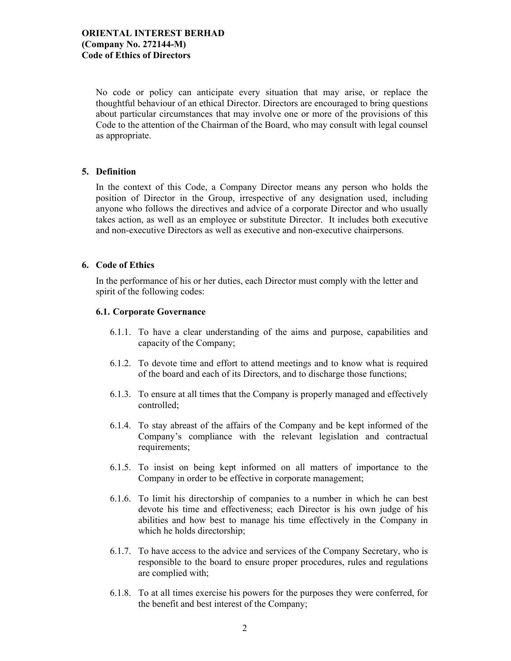# **ORIENTAL INTEREST BERHAD (Company No. 272144-M) Code of Ethics of Directors**

No code or policy can anticipate every situation that may arise, or replace the thoughtful behaviour of an ethical Director. Directors are encouraged to bring questions about particular circumstances that may involve one or more of the provisions of this Code to the attention of the Chairman of the Board, who may consult with legal counsel as appropriate.

### **5. Definition**

In the context of this Code, a Company Director means any person who holds the position of Director in the Group, irrespective of any designation used, including anyone who follows the directives and advice of a corporate Director and who usually takes action, as well as an employee or substitute Director. It includes both executive and non-executive Directors as well as executive and non-executive chairpersons.

## **6. Code of Ethics**

In the performance of his or her duties, each Director must comply with the letter and spirit of the following codes:

### **6.1. Corporate Governance**

- 6.1.1. To have a clear understanding of the aims and purpose, capabilities and capacity of the Company;
- 6.1.2. To devote time and effort to attend meetings and to know what is required of the board and each of its Directors, and to discharge those functions;
- 6.1.3. To ensure at all times that the Company is properly managed and effectively controlled;
- 6.1.4. To stay abreast of the affairs of the Company and be kept informed of the Company's compliance with the relevant legislation and contractual requirements;
- 6.1.5. To insist on being kept informed on all matters of importance to the Company in order to be effective in corporate management;
- 6.1.6. To limit his directorship of companies to a number in which he can best devote his time and effectiveness; each Director is his own judge of his abilities and how best to manage his time effectively in the Company in which he holds directorship;
- 6.1.7. To have access to the advice and services of the Company Secretary, who is responsible to the board to ensure proper procedures, rules and regulations are complied with;
- 6.1.8. To at all times exercise his powers for the purposes they were conferred, for the benefit and best interest of the Company;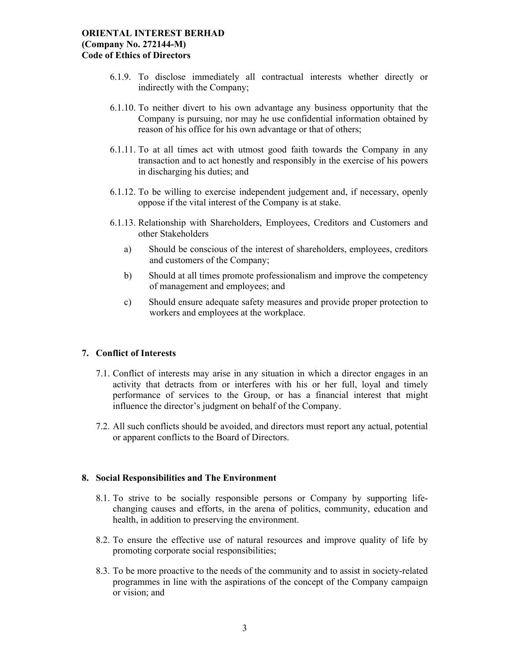### **ORIENTAL INTEREST BERHAD (Company No. 272144-M) Code of Ethics of Directors**

- 6.1.9. To disclose immediately all contractual interests whether directly or indirectly with the Company;
- 6.1.10. To neither divert to his own advantage any business opportunity that the Company is pursuing, nor may he use confidential information obtained by reason of his office for his own advantage or that of others;
- 6.1.11. To at all times act with utmost good faith towards the Company in any transaction and to act honestly and responsibly in the exercise of his powers in discharging his duties; and
- 6.1.12. To be willing to exercise independent judgement and, if necessary, openly oppose if the vital interest of the Company is at stake.
- 6.1.13. Relationship with Shareholders, Employees, Creditors and Customers and other Stakeholders
	- a) Should be conscious of the interest of shareholders, employees, creditors and customers of the Company;
	- b) Should at all times promote professionalism and improve the competency of management and employees; and
	- c) Should ensure adequate safety measures and provide proper protection to workers and employees at the workplace.

### **7. Conflict of Interests**

- 7.1. Conflict of interests may arise in any situation in which a director engages in an activity that detracts from or interferes with his or her full, loyal and timely performance of services to the Group, or has a financial interest that might influence the director's judgment on behalf of the Company.
- 7.2. All such conflicts should be avoided, and directors must report any actual, potential or apparent conflicts to the Board of Directors.

#### **8. Social Responsibilities and The Environment**

- 8.1. To strive to be socially responsible persons or Company by supporting lifechanging causes and efforts, in the arena of politics, community, education and health, in addition to preserving the environment.
- 8.2. To ensure the effective use of natural resources and improve quality of life by promoting corporate social responsibilities;
- 8.3. To be more proactive to the needs of the community and to assist in society-related programmes in line with the aspirations of the concept of the Company campaign or vision; and